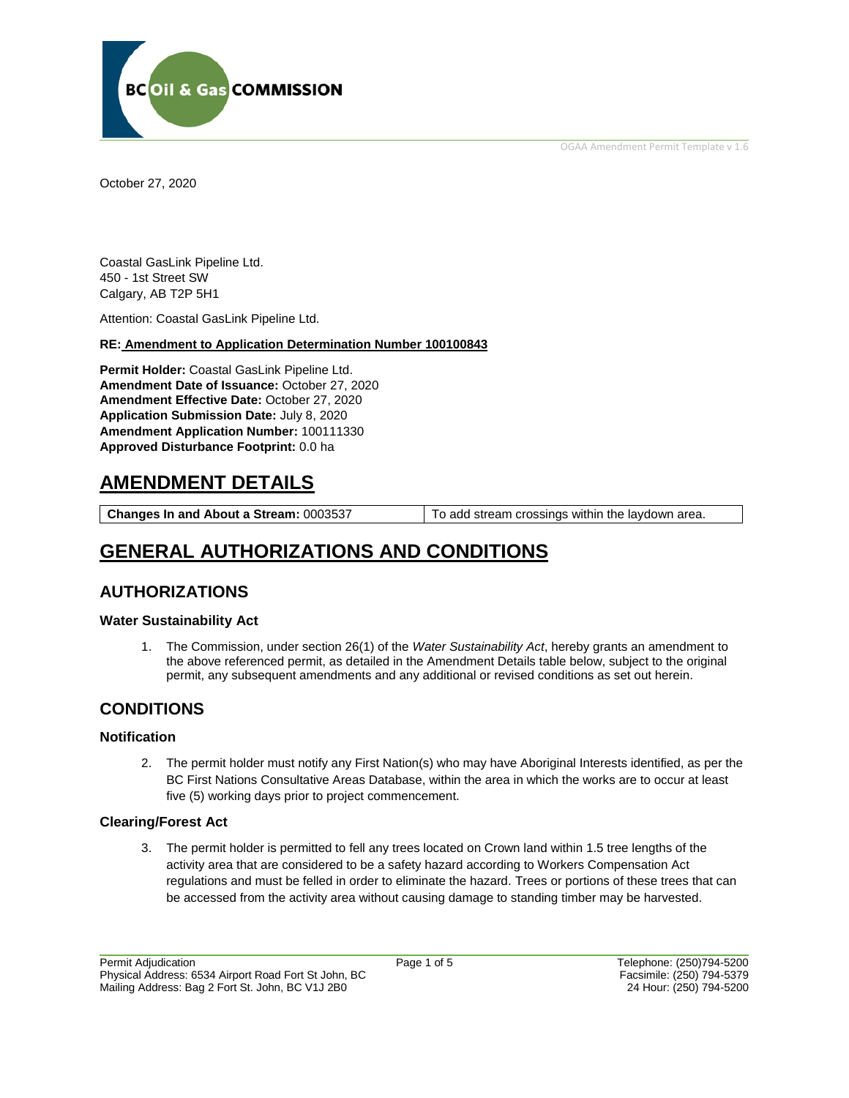OGAA Amendment Permit Template v 1.6



October 27, 2020

Coastal GasLink Pipeline Ltd. 450 - 1st Street SW Calgary, AB T2P 5H1

Attention: Coastal GasLink Pipeline Ltd.

#### **RE: Amendment to Application Determination Number 100100843**

**Permit Holder:** Coastal GasLink Pipeline Ltd. **Amendment Date of Issuance:** October 27, 2020 **Amendment Effective Date:** October 27, 2020 **Application Submission Date:** July 8, 2020 **Amendment Application Number:** 100111330 **Approved Disturbance Footprint:** 0.0 ha

## **AMENDMENT DETAILS**

**Changes In and About a Stream:** 0003537 To add stream crossings within the laydown area.

# **GENERAL AUTHORIZATIONS AND CONDITIONS**

### **AUTHORIZATIONS**

#### **Water Sustainability Act**

1. The Commission, under section 26(1) of the *Water Sustainability Act*, hereby grants an amendment to the above referenced permit, as detailed in the Amendment Details table below, subject to the original permit, any subsequent amendments and any additional or revised conditions as set out herein.

## **CONDITIONS**

#### **Notification**

2. The permit holder must notify any First Nation(s) who may have Aboriginal Interests identified, as per the BC First Nations Consultative Areas Database, within the area in which the works are to occur at least five (5) working days prior to project commencement.

#### **Clearing/Forest Act**

3. The permit holder is permitted to fell any trees located on Crown land within 1.5 tree lengths of the activity area that are considered to be a safety hazard according to Workers Compensation Act regulations and must be felled in order to eliminate the hazard. Trees or portions of these trees that can be accessed from the activity area without causing damage to standing timber may be harvested.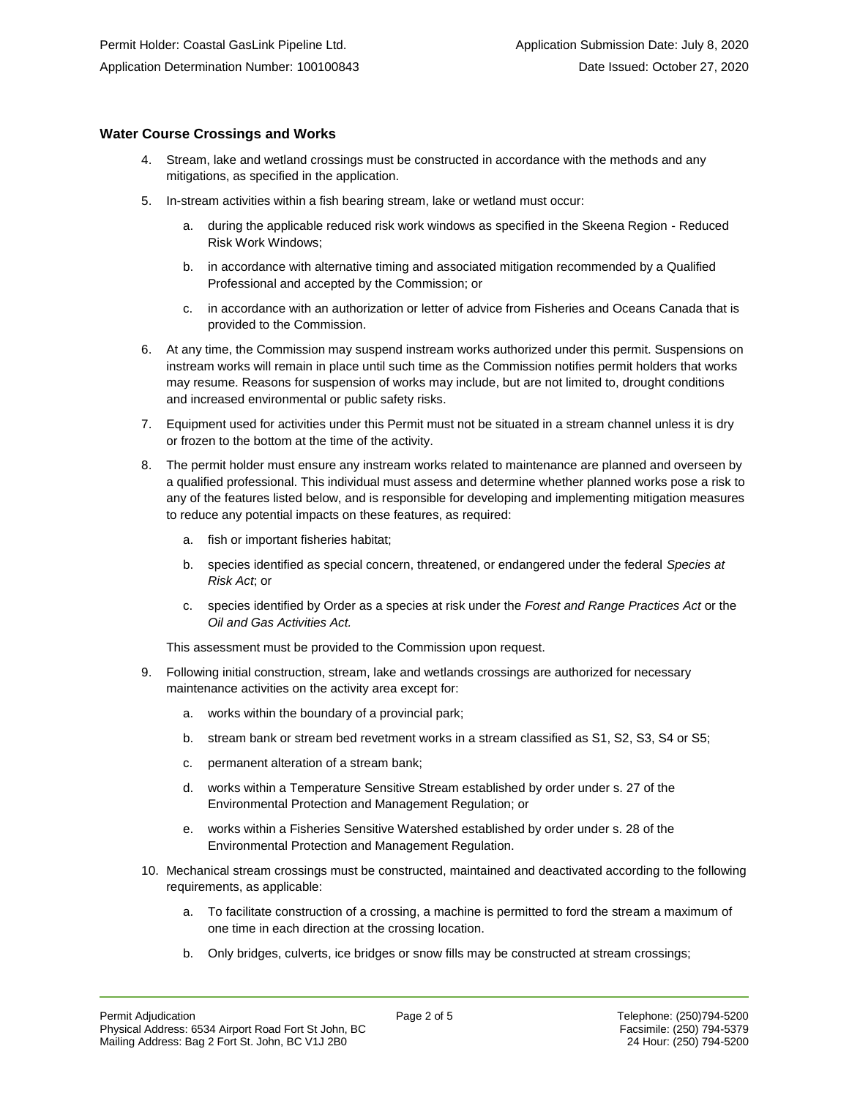#### **Water Course Crossings and Works**

- 4. Stream, lake and wetland crossings must be constructed in accordance with the methods and any mitigations, as specified in the application.
- 5. In-stream activities within a fish bearing stream, lake or wetland must occur:
	- a. during the applicable reduced risk work windows as specified in the Skeena Region Reduced Risk Work Windows;
	- b. in accordance with alternative timing and associated mitigation recommended by a Qualified Professional and accepted by the Commission; or
	- c. in accordance with an authorization or letter of advice from Fisheries and Oceans Canada that is provided to the Commission.
- 6. At any time, the Commission may suspend instream works authorized under this permit. Suspensions on instream works will remain in place until such time as the Commission notifies permit holders that works may resume. Reasons for suspension of works may include, but are not limited to, drought conditions and increased environmental or public safety risks.
- 7. Equipment used for activities under this Permit must not be situated in a stream channel unless it is dry or frozen to the bottom at the time of the activity.
- 8. The permit holder must ensure any instream works related to maintenance are planned and overseen by a qualified professional. This individual must assess and determine whether planned works pose a risk to any of the features listed below, and is responsible for developing and implementing mitigation measures to reduce any potential impacts on these features, as required:
	- a. fish or important fisheries habitat;
	- b. species identified as special concern, threatened, or endangered under the federal *Species at Risk Act*; or
	- c. species identified by Order as a species at risk under the *Forest and Range Practices Act* or the *Oil and Gas Activities Act.*

This assessment must be provided to the Commission upon request.

- 9. Following initial construction, stream, lake and wetlands crossings are authorized for necessary maintenance activities on the activity area except for:
	- a. works within the boundary of a provincial park;
	- b. stream bank or stream bed revetment works in a stream classified as S1, S2, S3, S4 or S5;
	- c. permanent alteration of a stream bank;
	- d. works within a Temperature Sensitive Stream established by order under s. 27 of the Environmental Protection and Management Regulation; or
	- e. works within a Fisheries Sensitive Watershed established by order under s. 28 of the Environmental Protection and Management Regulation.
- 10. Mechanical stream crossings must be constructed, maintained and deactivated according to the following requirements, as applicable:
	- a. To facilitate construction of a crossing, a machine is permitted to ford the stream a maximum of one time in each direction at the crossing location.
	- b. Only bridges, culverts, ice bridges or snow fills may be constructed at stream crossings;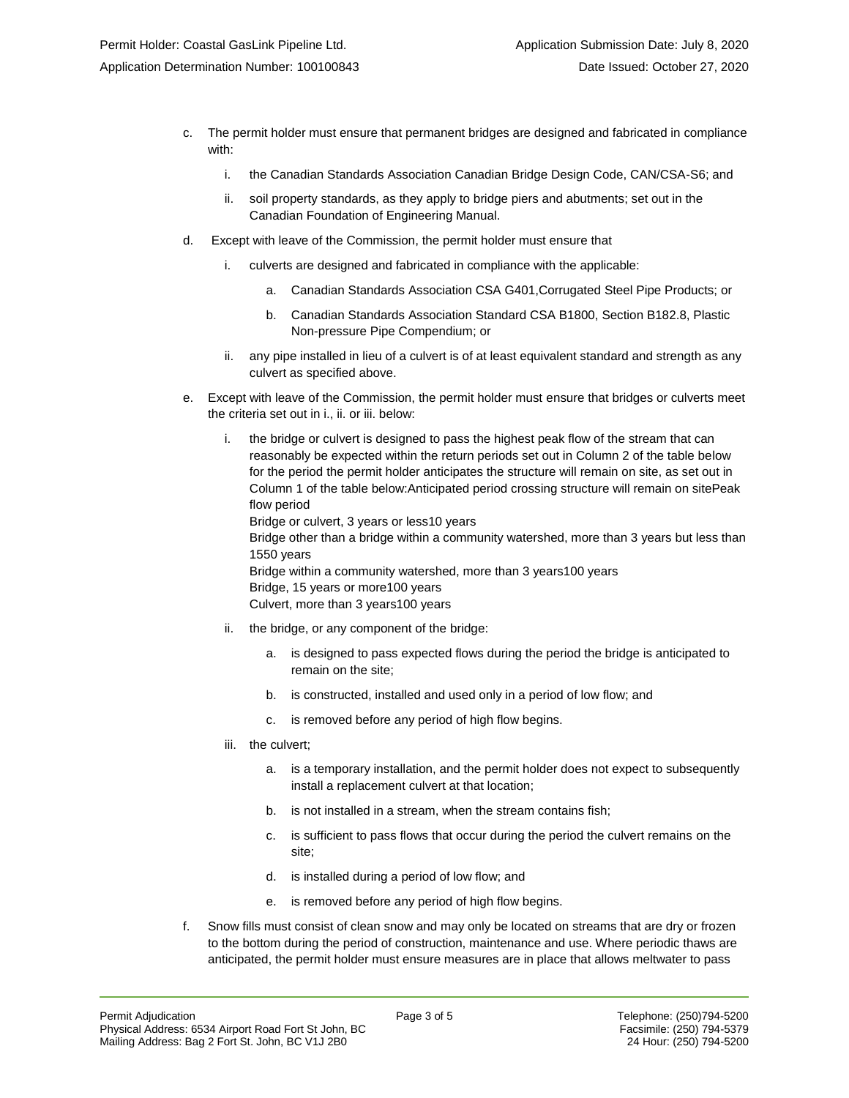- c. The permit holder must ensure that permanent bridges are designed and fabricated in compliance with:
	- i. the Canadian Standards Association Canadian Bridge Design Code, CAN/CSA-S6; and
	- ii. soil property standards, as they apply to bridge piers and abutments; set out in the Canadian Foundation of Engineering Manual.
- d. Except with leave of the Commission, the permit holder must ensure that
	- i. culverts are designed and fabricated in compliance with the applicable:
		- a. Canadian Standards Association CSA G401,Corrugated Steel Pipe Products; or
		- b. Canadian Standards Association Standard CSA B1800, Section B182.8, Plastic Non-pressure Pipe Compendium; or
	- ii. any pipe installed in lieu of a culvert is of at least equivalent standard and strength as any culvert as specified above.
- e. Except with leave of the Commission, the permit holder must ensure that bridges or culverts meet the criteria set out in i., ii. or iii. below:
	- i. the bridge or culvert is designed to pass the highest peak flow of the stream that can reasonably be expected within the return periods set out in Column 2 of the table below for the period the permit holder anticipates the structure will remain on site, as set out in Column 1 of the table below:Anticipated period crossing structure will remain on sitePeak flow period Bridge or culvert, 3 years or less10 years

Bridge other than a bridge within a community watershed, more than 3 years but less than 1550 years

Bridge within a community watershed, more than 3 years100 years Bridge, 15 years or more100 years Culvert, more than 3 years100 years

- ii. the bridge, or any component of the bridge:
	- a. is designed to pass expected flows during the period the bridge is anticipated to remain on the site;
	- b. is constructed, installed and used only in a period of low flow; and
	- c. is removed before any period of high flow begins.
- iii. the culvert;
	- a. is a temporary installation, and the permit holder does not expect to subsequently install a replacement culvert at that location;
	- b. is not installed in a stream, when the stream contains fish;
	- c. is sufficient to pass flows that occur during the period the culvert remains on the site;
	- d. is installed during a period of low flow; and
	- e. is removed before any period of high flow begins.
- f. Snow fills must consist of clean snow and may only be located on streams that are dry or frozen to the bottom during the period of construction, maintenance and use. Where periodic thaws are anticipated, the permit holder must ensure measures are in place that allows meltwater to pass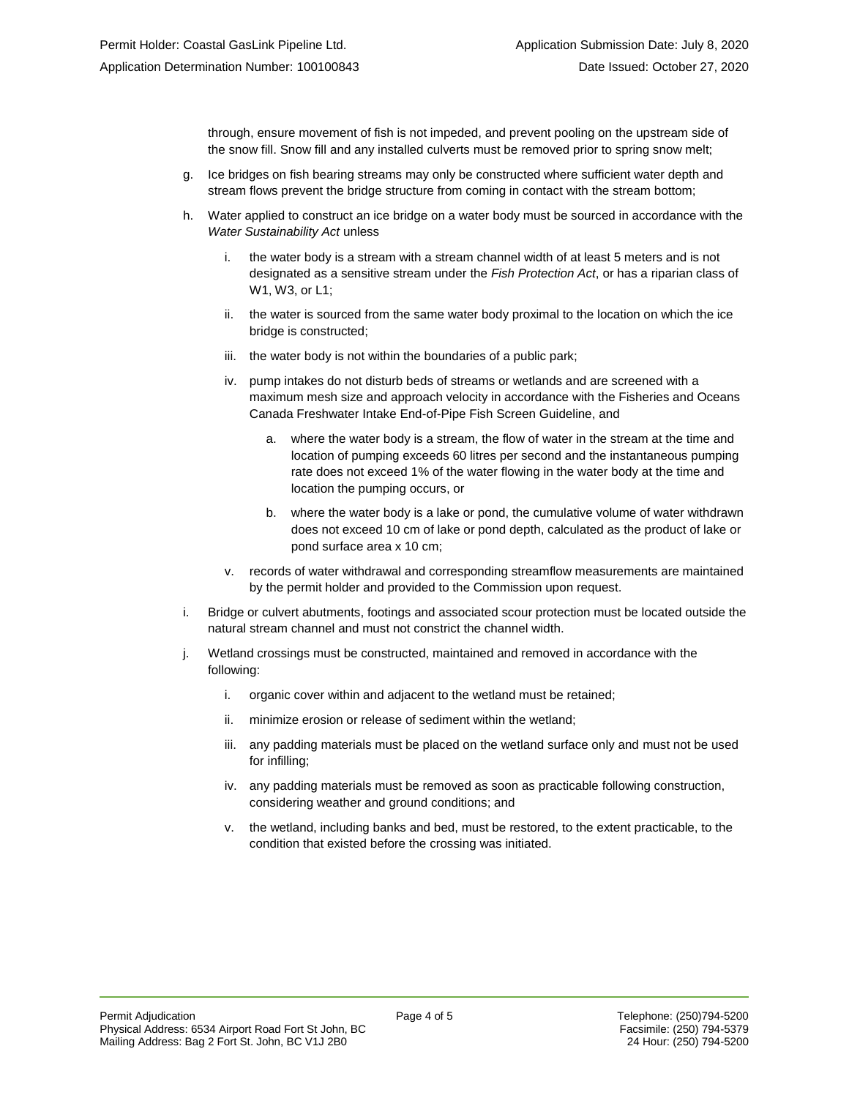through, ensure movement of fish is not impeded, and prevent pooling on the upstream side of the snow fill. Snow fill and any installed culverts must be removed prior to spring snow melt;

- g. Ice bridges on fish bearing streams may only be constructed where sufficient water depth and stream flows prevent the bridge structure from coming in contact with the stream bottom;
- h. Water applied to construct an ice bridge on a water body must be sourced in accordance with the *Water Sustainability Act* unless
	- i. the water body is a stream with a stream channel width of at least 5 meters and is not designated as a sensitive stream under the *Fish Protection Act*, or has a riparian class of W1, W3, or L1;
	- ii. the water is sourced from the same water body proximal to the location on which the ice bridge is constructed;
	- iii. the water body is not within the boundaries of a public park;
	- iv. pump intakes do not disturb beds of streams or wetlands and are screened with a maximum mesh size and approach velocity in accordance with the Fisheries and Oceans Canada Freshwater Intake End-of-Pipe Fish Screen Guideline, and
		- a. where the water body is a stream, the flow of water in the stream at the time and location of pumping exceeds 60 litres per second and the instantaneous pumping rate does not exceed 1% of the water flowing in the water body at the time and location the pumping occurs, or
		- b. where the water body is a lake or pond, the cumulative volume of water withdrawn does not exceed 10 cm of lake or pond depth, calculated as the product of lake or pond surface area x 10 cm;
	- v. records of water withdrawal and corresponding streamflow measurements are maintained by the permit holder and provided to the Commission upon request.
- i. Bridge or culvert abutments, footings and associated scour protection must be located outside the natural stream channel and must not constrict the channel width.
- j. Wetland crossings must be constructed, maintained and removed in accordance with the following:
	- i. organic cover within and adjacent to the wetland must be retained;
	- ii. minimize erosion or release of sediment within the wetland;
	- iii. any padding materials must be placed on the wetland surface only and must not be used for infilling;
	- iv. any padding materials must be removed as soon as practicable following construction, considering weather and ground conditions; and
	- v. the wetland, including banks and bed, must be restored, to the extent practicable, to the condition that existed before the crossing was initiated.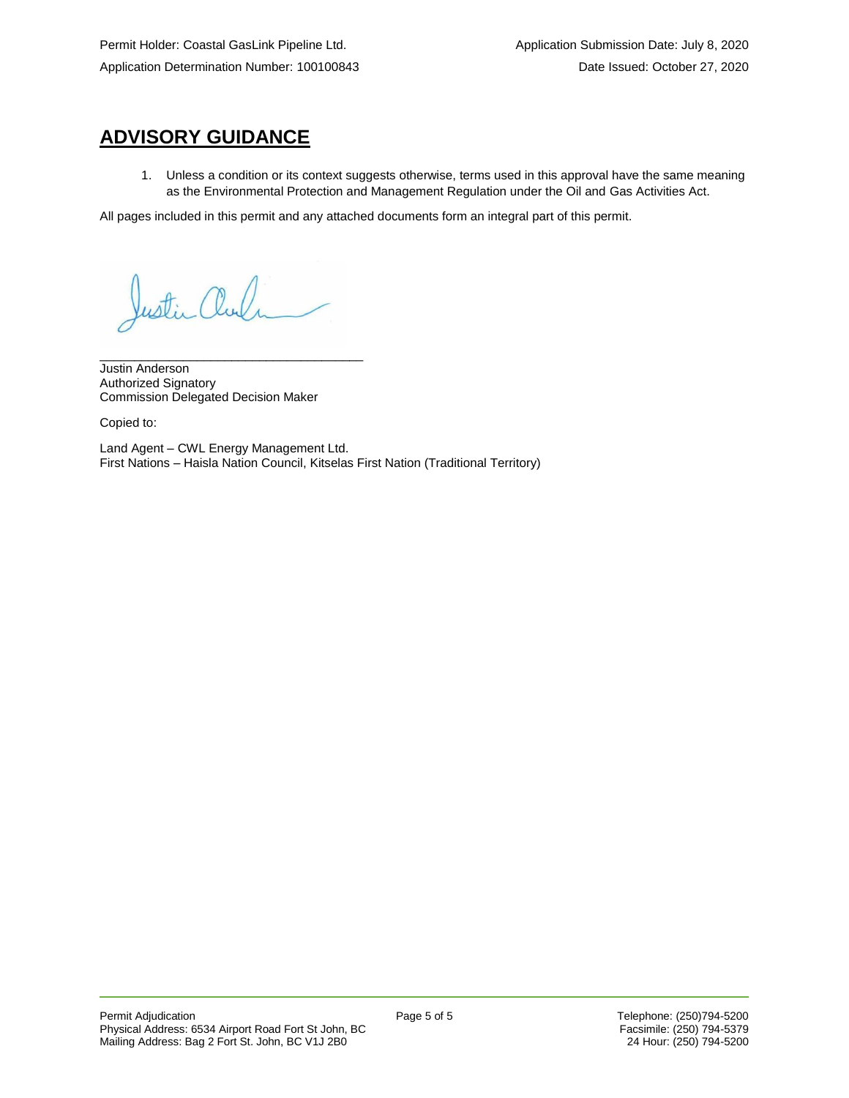# **ADVISORY GUIDANCE**

1. Unless a condition or its context suggests otherwise, terms used in this approval have the same meaning as the Environmental Protection and Management Regulation under the Oil and Gas Activities Act.

All pages included in this permit and any attached documents form an integral part of this permit.

Justin Chul

\_\_\_\_\_\_\_\_\_\_\_\_\_\_\_\_\_\_\_\_\_\_\_\_\_\_\_\_\_\_\_\_\_\_\_\_\_\_

Justin Anderson Authorized Signatory Commission Delegated Decision Maker

Copied to:

Land Agent – CWL Energy Management Ltd. First Nations – Haisla Nation Council, Kitselas First Nation (Traditional Territory)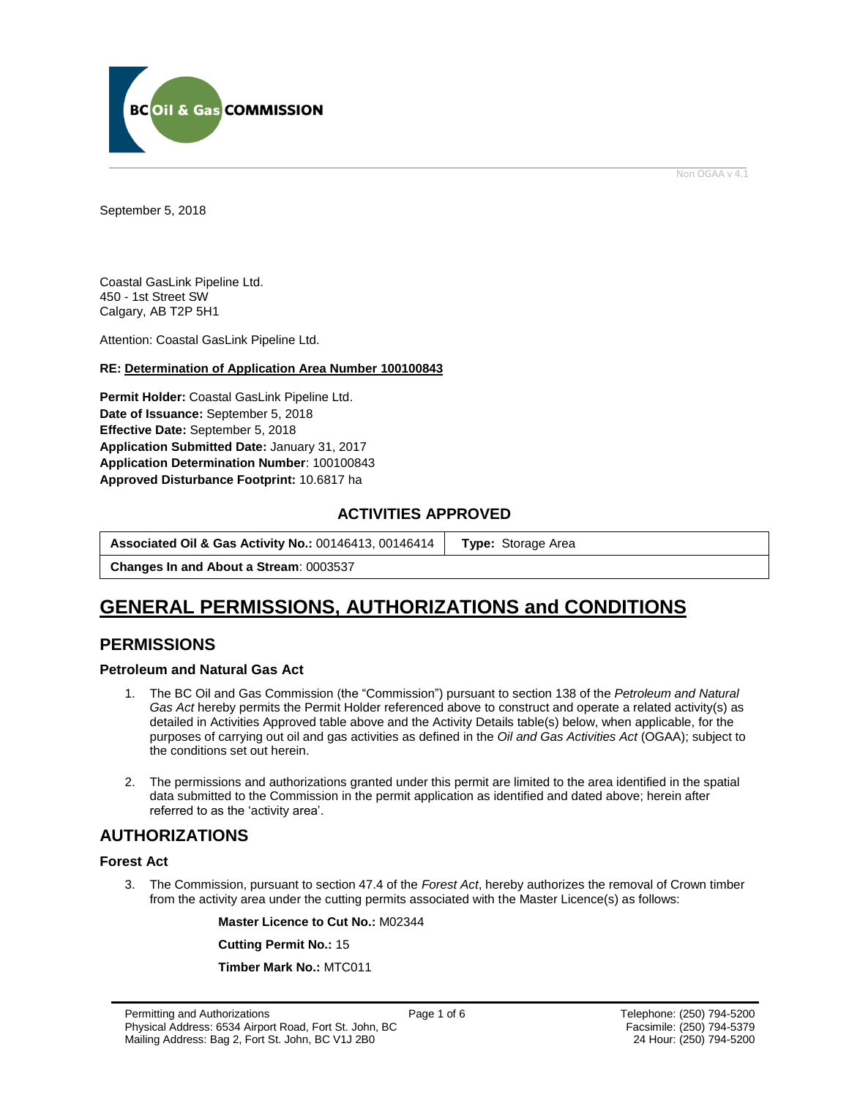

Non OGAA v 4.1

<span id="page-5-0"></span>September 5, 2018

Coastal GasLink Pipeline Ltd. 450 - 1st Street SW Calgary, AB T2P 5H1

Attention: Coastal GasLink Pipeline Ltd.

#### **RE: Determination of Application Area Number 100100843**

**Permit Holder:** Coastal GasLink Pipeline Ltd. **Date of Issuance:** September 5, 2018 **Effective Date:** September 5, 2018 **Application Submitted Date:** January 31, 2017 **Application Determination Number**: 100100843 **[Approved Disturbance Footprint:](#page-5-0)** 10.6817 ha

### **ACTIVITIES APPROVED**

| Associated Oil & Gas Activity No.: 00146413, 00146414<br><b>Type:</b> Storage Area |
|------------------------------------------------------------------------------------|
|------------------------------------------------------------------------------------|

**Changes In and About a Stream**: 0003537

## **GENERAL [PERMISSIONS,](#page-5-0) AUTHORIZATIONS and CONDITIONS**

### **PERMISSIONS**

#### **Petroleum and Natural Gas Act**

- 1. The BC Oil and Gas Commission (the "Commission") pursuant to section 138 of the *Petroleum and Natural Gas Act* hereby permits the Permit Holder referenced above to construct and operate a related activity(s) as detailed in Activities Approved table above and the Activity Details table(s) below, when applicable, for the purposes of carrying out oil and gas activities as defined in the *Oil and Gas Activities Act* (OGAA); subject to the conditions set out herein.
- 2. The [permissions](#page-5-0) and authorizations granted under this permit are limited to the area identified in the spatial data submitted to the Commission in the permit application as identified and dated above; herein after referred to as the 'activity area'.

### **AUTHORIZATIONS**

#### **Forest Act**

3. The Commission, pursuant to section 47.4 of the *Forest Act*, hereby authorizes the removal of Crown timber from the activity area under the cutting permits associated with the Master Licence(s) as follows:

**Master Licence to Cut No.:** M02344

**Cutting Permit No.:** 15

**Timber Mark No.:** MTC011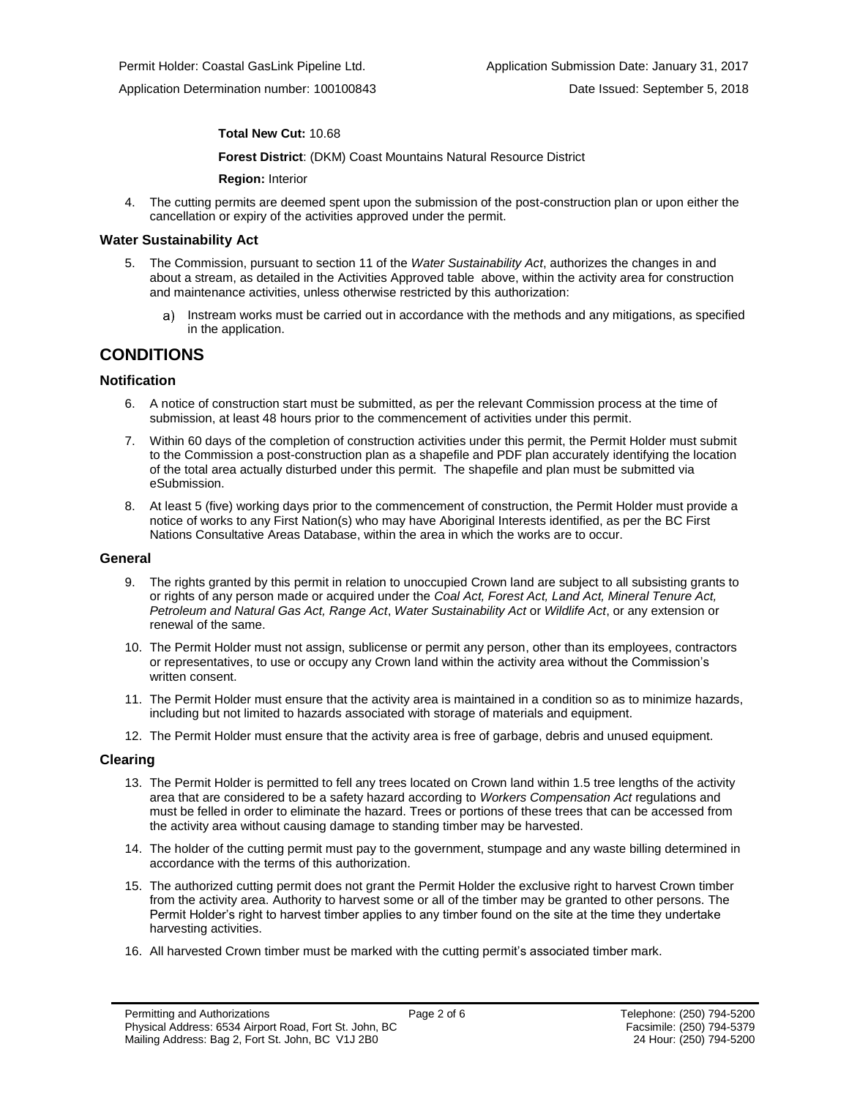#### **Total New Cut:** 10.68

**[Forest District](https://ams-crd.bcogc.ca/crd/)**: (DKM) Coast Mountains Natural Resource District

**Region:** Interior

4. The cutting permits are deemed spent upon the submission of the post-construction plan or upon either the cancellation or expiry of the activities approved under the permit.

#### **Water Sustainability Act**

- 5. The Commission, pursuant to section 11 of the *Water Sustainability Act*, authorizes the changes in and about a stream, as detailed in the Activities Approved table above, within the activity area for construction and maintenance activities, unless otherwise restricted by this authorization:
	- a) Instream works must be carried out in accordance with the methods and any mitigations, as specified in the application.

### **CONDITIONS**

#### **Notification**

- 6. A notice of construction start must be submitted, as per the relevant Commission process at the time of submission, at least 48 hours prior to the commencement of activities under this permit.
- 7. Within 60 days of the completion of construction activities under this permit, the Permit Holder must submit to the Commission a post-construction plan as a shapefile and PDF plan accurately identifying the location of the total area actually disturbed under this permit. The shapefile and plan must be submitted via eSubmission.
- 8. At least 5 (five) working days prior to the commencement of construction, the Permit Holder must provide a notice of works to any First Nation(s) who may have Aboriginal Interests identified, as per the BC First Nations Consultative Areas Database, within the area in which the works are to occur.

#### **General**

- 9. The rights granted by this permit in relation to unoccupied Crown land are subject to all subsisting grants to or rights of any person made or acquired under the *Coal Act, Forest Act, Land Act, Mineral Tenure Act, Petroleum and Natural Gas Act, Range Act*, *Water Sustainability Act* or *Wildlife Act*, or any extension or renewal of the same.
- 10. The Permit Holder must not assign, sublicense or permit any person, other than its employees, contractors or representatives, to use or occupy any Crown land within the activity area without the Commission's written consent.
- 11. The Permit Holder must ensure that the activity area is maintained in a condition so as to minimize hazards, including but not limited to hazards associated with storage of materials and equipment.
- 12. The Permit Holder must ensure that the activity area is free of garbage, debris and unused equipment.

#### **Clearing**

- 13. The Permit Holder is permitted to fell any trees located on Crown land within 1.5 tree lengths of the activity area that are considered to be a safety hazard according to *Workers Compensation Act* regulations and must be felled in order to eliminate the hazard. Trees or portions of these trees that can be accessed from the activity area without causing damage to standing timber may be harvested.
- 14. The holder of the cutting permit must pay to the government, stumpage and any waste billing determined in accordance with the terms of this authorization.
- 15. The authorized cutting permit does not grant the Permit Holder the exclusive right to harvest Crown timber from the activity area. Authority to harvest some or all of the timber may be granted to other persons. The Permit Holder's right to harvest timber applies to any timber found on the site at the time they undertake harvesting activities.
- 16. All harvested Crown timber must be marked with the cutting permit's associated timber mark.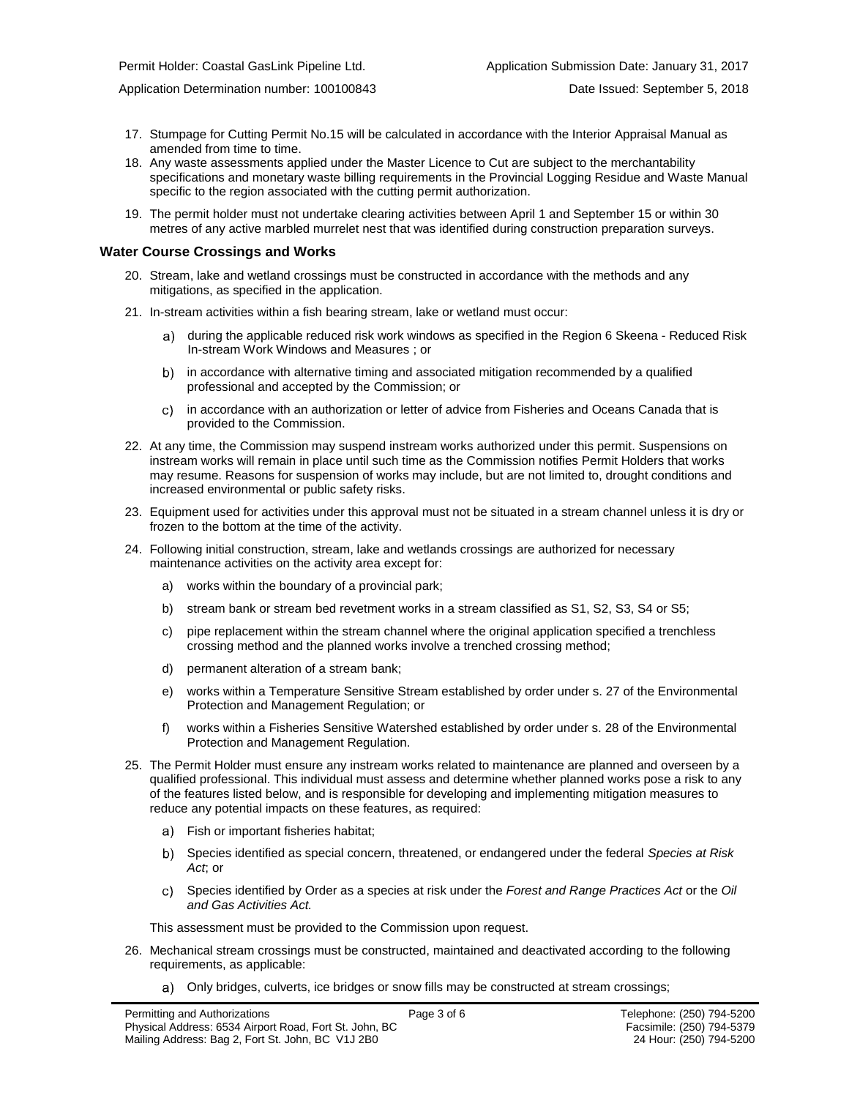- 17. Stumpage for Cutting Permit No.15 will be calculated in accordance with the Interior Appraisal Manual as amended from time to time.
- 18. Any waste assessments applied under the Master Licence to Cut are subject to the merchantability specifications and monetary waste billing requirements in the Provincial Logging Residue and Waste Manual specific to the region associated with the cutting permi[t authorization.](#page-5-0)
- 19. The permit holder must not undertake clearing activities between April 1 and September 15 or within 30 metres of any active marbled murrelet nest that was identified during construction preparation surveys.

#### **Water Course Crossings and Works**

- 20. Stream, lake and wetland crossings must be constructed in accordance with the methods and any mitigations, as specified in the application.
- 21. In-stream activities within a fish bearing stream, lake or wetland must occur:
	- a) [during the applicable reduced risk work windows as specified in the](#page-5-0) Region 6 Skeena Reduced Risk In-stream Work Windows and Measures ; or
	- b) in accordance with alternative timing and associated mitigation recommended by a qualified professional and accepted b[y the](#page-5-0) Commission; or
	- in accordance with an authorization or letter of advice from Fisheries and Oceans Canada that is  $\mathbf{c}$ provided to the Commission.
- 22. At any time, the Commission may suspend instream works authorized under this permit. Suspensions on instream works will remain in place until such time as the Commission notifies Permit Holders that works may resume. Reasons for suspension of works may include, but are not limited to, drought conditions and increased environmental or public safety risks.
- 23. Equipment used for activities under this approval must not be situated in a stream channel unless it is dry or frozen to the bottom at the time of the activity.
- 24. Following initial construction, stream, lake and wetlands crossings are authorized for necessary maintenance activities on the activity area except for:
	- a) works within the boundary of a provincial park;
	- b) stream bank or stream bed revetment works in a stream classified as S1, S2, S3, S4 or S5;
	- c) pipe replacement within the stream channel where the original application specified a trenchless crossing method and the planned works involve a trenched crossing method;
	- d) permanent alteration of a stream bank;
	- e) works within a Temperature Sensitive Stream established by order under s. 27 of the Environmental Protection and Management Regulation; or
	- f) works within a Fisheries Sensitive Watershed established by order under s. 28 of the Environmental Protection and Management Regulation.
- 25. The Permit Holder must ensure any instream works related to maintenance are planned and overseen by a qualified professional. This individual must assess and determine whether planned works pose a risk to any of the features listed below, and is responsible for developing and implementing mitigation measures to reduce any potential impacts on these features, as required:
	- a) Fish or important fisheries habitat;
	- Species identified as special concern, threatened, or endangered under the federal *Species at Risk Act*; or
	- Species identified by Order as a species at risk under the *Forest and Range Practices Act* or the *Oil*  C) *and Gas Activities Act.*

This assessment must be provided to the Commission upon request.

- 26. Mechanical stream crossings must be constructed, maintained and deactivated according to the following requirements, as applicable:
	- a) Only bridges, culverts, ice bridges or snow fills may be constructed at stream crossings;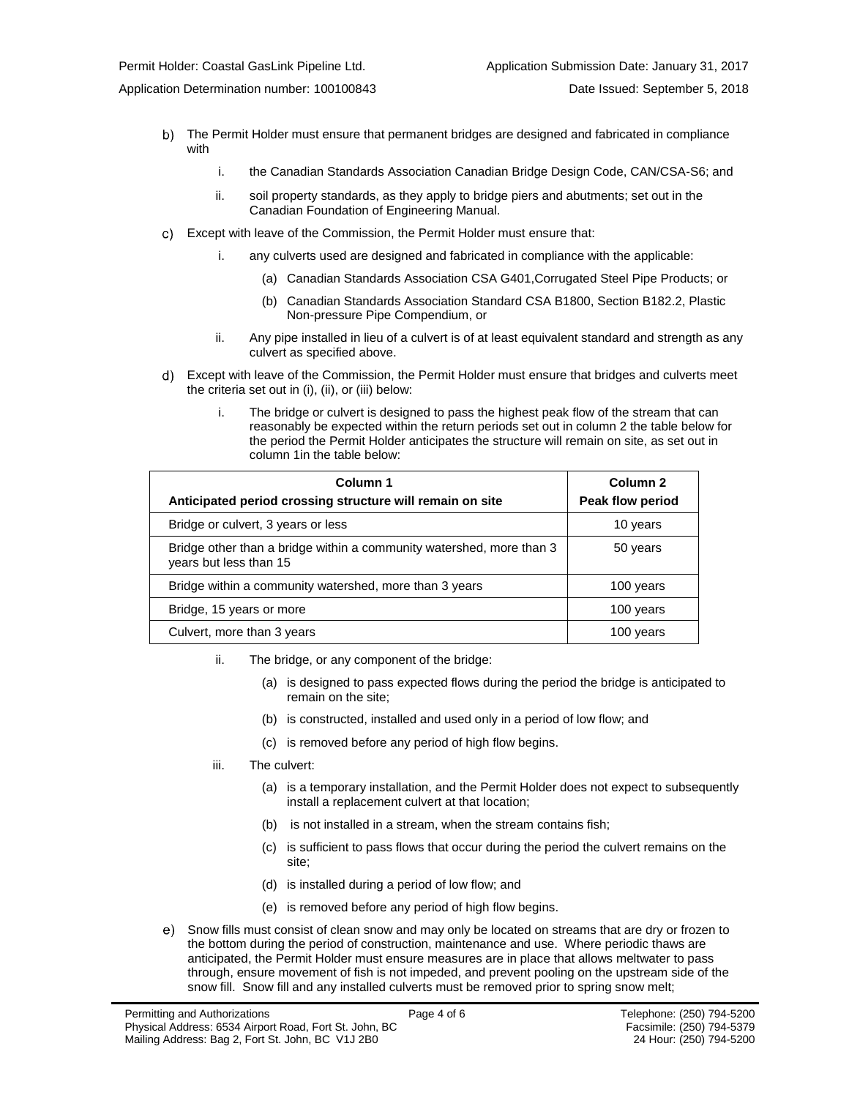- 
- The Permit Holder must ensure that permanent bridges are designed and fabricated in compliance with
	- i. the Canadian Standards Association Canadian Bridge Design Code, CAN/CSA-S6; and
	- ii. soil property standards, as they apply to bridge piers and abutments; set out in the Canadian Foundation of Engineering Manual.
- $\mathbf{C}$ Except with leave of the Commission, the Permit Holder must ensure that:
	- i. any culverts used are designed and fabricated in compliance with the applicable:
		- (a) Canadian Standards Association CSA G401,Corrugated Steel Pipe Products; or
		- (b) Canadian Standards Association Standard CSA B1800, Section B182.2, Plastic Non-pressure Pipe Compendium, or
	- ii. Any pipe installed in lieu of a culvert is of at least equivalent standard and strength as any culvert as specified above.
- Except with leave of the Commission, the Permit Holder must ensure that bridges and culverts meet the criteria set out in (i), (ii), or (iii) below:
	- i. The bridge or culvert is designed to pass the highest peak flow of the stream that can reasonably be expected within the return periods set out in column 2 the table below for the period the Permit Holder anticipates the structure will remain on site, as set out in column 1in the table below:

| Column 1<br>Anticipated period crossing structure will remain on site                          | Column <sub>2</sub><br>Peak flow period |
|------------------------------------------------------------------------------------------------|-----------------------------------------|
| Bridge or culvert, 3 years or less                                                             | 10 years                                |
| Bridge other than a bridge within a community watershed, more than 3<br>years but less than 15 | 50 years                                |
| Bridge within a community watershed, more than 3 years                                         | 100 years                               |
| Bridge, 15 years or more                                                                       | 100 years                               |
| Culvert, more than 3 years                                                                     | 100 years                               |

- ii. The bridge, or any component of the bridge:
	- (a) is designed to pass expected flows during the period the bridge is anticipated to remain on the site;
	- (b) is constructed, installed and used only in a period of low flow; and
	- (c) is removed before any period of high flow begins.
- iii. The culvert:
	- (a) is a temporary installation, and the Permit Holder does not expect to subsequently install a replacement culvert at that location;
	- (b) is not installed in a stream, when the stream contains fish;
	- (c) is sufficient to pass flows that occur during the period the culvert remains on the site;
	- (d) is installed during a period of low flow; and
	- (e) is removed before any period of high flow begins.
- Snow fills must consist of clean snow and may only be located on streams that are dry or frozen to the bottom during the period of construction, maintenance and use. Where periodic thaws are anticipated, the Permit Holder must ensure measures are in place that allows meltwater to pass through, ensure movement of fish is not impeded, and prevent pooling on the upstream side of the snow fill. Snow fill and any installed culverts must be removed prior to spring snow melt;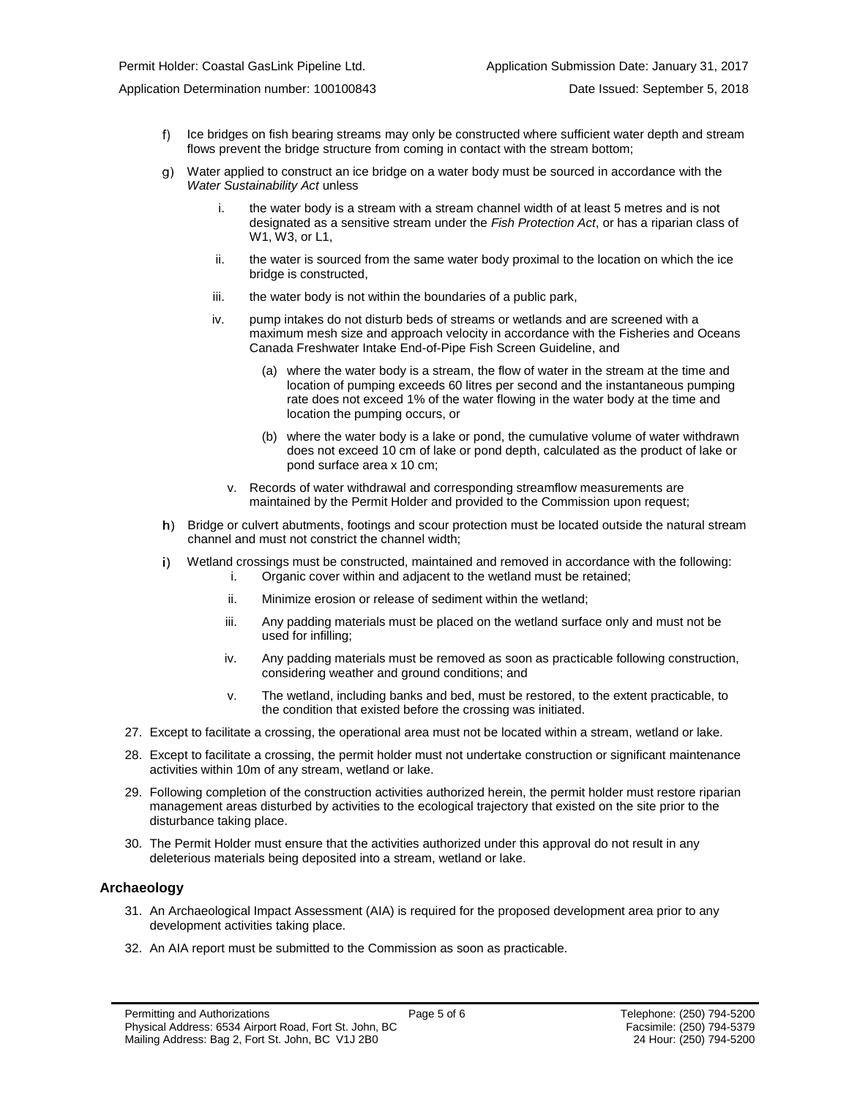- $f$ Ice bridges on fish bearing streams may only be constructed where sufficient water depth and stream flows prevent the bridge structure from coming in contact with the stream bottom;
- Water applied to construct an ice bridge on a water body must be sourced in accordance with the g) *Water Sustainability Act* unless
	- i. the water body is a stream with a stream channel width of at least 5 metres and is not designated as a sensitive stream under the *Fish Protection Act*, or has a riparian class of W1, W3, or L1,
	- ii. the water is sourced from the same water body proximal to the location on which the ice bridge is constructed,
	- iii. the water body is not within the boundaries of a public park,
	- iv. pump intakes do not disturb beds of streams or wetlands and are screened with a maximum mesh size and approach velocity in accordance with the Fisheries and Oceans Canada Freshwater Intake End-of-Pipe Fish Screen Guideline, and
		- (a) where the water body is a stream, the flow of water in the stream at the time and location of pumping exceeds 60 litres per second and the instantaneous pumping rate does not exceed 1% of the water flowing in the water body at the time and location the pumping occurs, or
		- (b) where the water body is a lake or pond, the cumulative volume of water withdrawn does not exceed 10 cm of lake or pond depth, calculated as the product of lake or pond surface area x 10 cm;
		- v. Records of water withdrawal and corresponding streamflow measurements are maintained by the Permit Holder and provided to the Commission upon request;
- h) Bridge or culvert abutments, footings and scour protection must be located outside the natural stream channel and must not constrict the channel width;
- Wetland crossings must be constructed, maintained and removed in accordance with the following: i) i. Organic cover within and adjacent to the wetland must be retained;
	- ii. Minimize erosion or release of sediment within the wetland;
	- iii. Any padding materials must be placed on the wetland surface only and must not be used for infilling;
	- iv. Any padding materials must be removed as soon as practicable following construction, considering weather and ground conditions; and
	- v. The wetland, including banks and bed, must be restored, to the extent practicable, to the condition that existed before the crossing was initiated.
- 27. Except to facilitate a crossing, the operational area must not be located within a stream, wetland or lake.
- 28. Except to facilitate a crossing, the permit holder must not undertake construction or significant maintenance activities within 10m of any stream, wetland or lake.
- 29. Following completion of the construction activities authorized herein, the permit holder must restore riparian management areas disturbed by activities to the ecological trajectory that existed on the site prior to the disturbance taking place.
- 30. The Permit Holder must ensure that the activities authorized under this approval do not result in any deleterious materials being deposited into a stream, wetland or lake.

#### **Archaeology**

- 31. An Archaeological Impact Assessment (AIA) is required for the proposed development area prior to any development activities taking place.
- 32. An AIA report must be submitted to the Commission as soon as practicable.